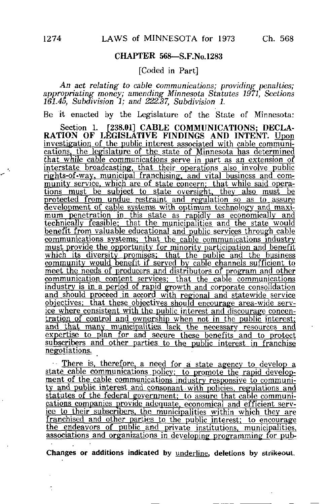## CHAPTER 568—S.F.No.1283

## [Coded in Part]

An act relating to cable communications; providing penalties; appropriating money; amending Minnesota Statutes 1971, Sections 161.45, Subdivision 1; and 222.37, Subdivision 1.

Be it enacted by the Legislature of the State of Minnesota:

Section 1. [238.01] CABLE COMMUNICATIONS; DECLA-RATION OF LEGISLATIVE FINDINGS AND INTENT. Upon investigation of the public interest associated with cable communications, the legislature of the state of Minnesota has determined that while cable communications serve in part as an extension of interstate broadcasting, that their operations also involve public rights-of-way. municipal franchising:, and vital business and community service, which are of state concern; that while said operations must be subject to state oversight, they also must be protected from undue restraint and regulation so as to assure development of cable systems with optimum technology and maximum penetration in this state as rapidly as economically and technically feasible: that the municipalities and the state would benefit from valuable educational and public services through cable communications systems: that the cable communications industry must provide the opportunity for minority participation and benefit which its diversity promises; that the public and the business community would benefit if served by cable channels sufficient to meet the needs of producers and distributors of program and other communication content services; that the cable communications industry is in a period of rapid growth and corporate consolidation and should proceed in accord with regional and statewide service objectives: that these objectives should encourage area-wide service where consistent with the public interest and discourage concentration of control and ownership when not in the public interest; and that many municipalities lack the necessary resources and expertise to plan for and secure these benefits and to protect subscribers and other parties to the public interest in franchise negotiations.

There is, therefore, a need for a state agency to develop a state cable communications policy: to promote the rapid development of the cable communications industry responsive to community and public interest and consonant with policies, regulations and statutes of the federal government: to assure that cable communications companies provide adequate, economical and efficient service to their subscribers, the municipalities within which they are franchised and other parties to the public interest: to encourage the endeavors of public and private institutions, municipalities, associations and organizations in developing programming for pub-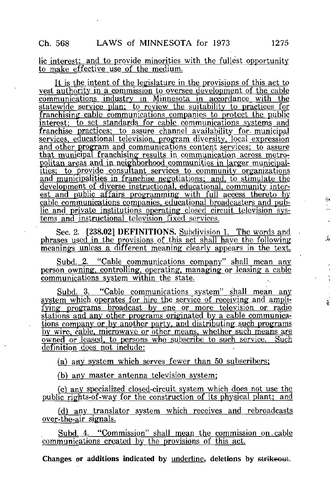## lie interest: and to provide minorities with the fullest opportunity to make effective use of the medium.

It is the intent of the legislature in the provisions of this act to vest authority in a commission to oversee development of the cable communications industry in Minnesota in accordance with the statewide service plan: to review the suitability to practices for franchising cable communications companies to protect the public interest: to set standards for cable communications systems and franchise practices; to assure channel availability for- municipal services, educational television, program diversity, local expression and other program and communications content services; to assure that municipal franchising results in communication 'across metropolitan areas and in neighborhood communities in larger municipalities; to provide consultant services to community organizatioris and municipalities in franchise negotiations: and, to stimulate the development of diverse instructional, educational, community interest and public affairs programming with full access thereto by cable communications companies, educational broadcasters and pub^ lie and private institutions operating closed circuit television systerns and instructional television fixed services.

Sec. 2. [238.02] DEFINITIONS. Subdivision 1. The words and phrases used in the provisions of this act shall have the following meanings unless a different meaning clearly appears in the text.

Subd. 2. "Cable communications company" shall mean any person owning, controlling, operating, managing or leasing a cable communications system within the state.

Subd. 3. "Cable communications system" shall mean any system which operates for hire the service of receiving and amplifying programs broadcast by one\_ or more television or radio stations and any other programs originated by a cable communications company or by another party, and distributing such programs by wire, cable, microwave or other means, whether such means are owned or leased, to persons who subscribe to such service. Such definition does not include:

(a) any system which serves fewer than  $50$  subscribers;

(b) any master antenna television system;

(c\ any specialized closed-circuit system which does not use the public rights-of-way for the construction of its physical plant; and

fd) any translator system which receives and rebroadcasts over-the-air signals.

Subd. 4. "Commission" shall mean the commission on-cable communications created by the provisions of this act.

Changes or additions indicated by underline, deletions by strikeout.

ý,

ś,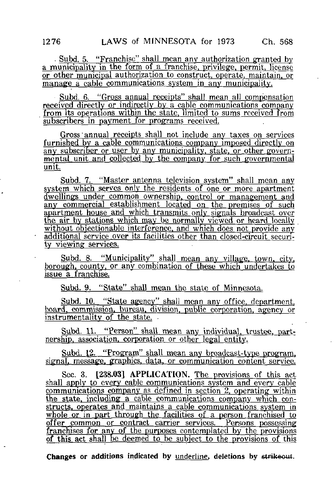. Subd. 5. "Franchise" shall mean any authorization granted by a municipality in the form of a franchise, privilege, permit. license or other municipal authorization to construct, operate, maintain^or manage a cable communications system in any municipality.

Subd. 6. "Gross annual receipts" shall mean all compensation received directly or indirectly by a cable communications company from its operations within the state, limited to sums received from  $subscripts$  in payment for programs received.

Gross'annual receipts shall not include any taxes on services furnished by a cable communications company imposed directly on any subscriber or user by any municipality, state, or other governmental unit and collected by the company for such governmental unit

Subd. 7. "Master antenna television system" shall mean any system which serves only the residents of one or more apartment dwellings under common ownership, control or management and any commercial establishment located on the premises of such apartment house and which transmits only signals broadcast over the air by stations which may be normally viewed or heard locally without objectionable interference, and which does not provide any additional service over its facilities other than closed-circuit security viewing services.

Subd. 8. "Municipality" shall mean any village, town, city, borough, county, or any combination of these which undertakes to issue a franchise.

Subd. 9. "State" shall mean the state of Minnesota.

Subd. 10. "State agency" shall mean any office, department, board, commission, bureau, division, public corporation, agency or instrumentality of the state.

Subd. 11. "Person" shall mean any individual, trustee, partnership, association, corporation or other legal entity.

Subd. 12. "Program" shall mean any broadcast-type program, signal, message, graphics, data, or communication content service.

Sec. 3. [238.03] APPLICATION. The provisions of this act shall apply to every cable communications system and every cable communications company as defined in section 2. operating within the state, including a cable communications company which constructs, operates and maintains a cable communications system in whole or in part through the facilities of a person franchised to offer common or contract carrier services. Persons possessing franchises for any of the purposes contemplated by the provisions of this act shall be deemed to be subject to the provisions of this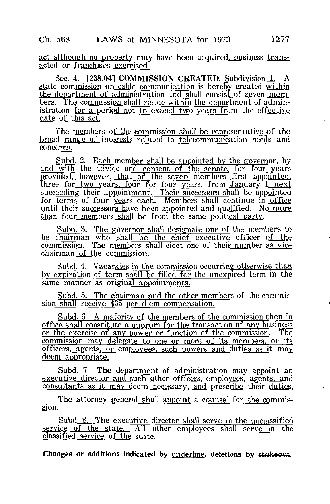act although no property may have been acquired, business transacted or franchises exercised.

Sec. 4. [238.04] COMMISSION CREATED. Subdivision 1. state commission on cable communication is hereby created within the department of administration and shall consist of seven members. The commission shall reside within the department of admin-The commission shall reside within the department of administration for a period not to exceed two years from the effective date of this act.

The members of the commission shall be representative of the broad range of interests related to telecommunication needs and concerns.

Subd. 2. Each member shall be appointed by the governor, by and with the advice and consent of the senate, for four years provided, however, that of the seven members first appointed, three for two years, four for four years, from January 1 next succeeding their appointment. Their successors shall be appointed for terms of four years each. Members shall continue in office until their successors have been appointed and qualified. No more than four members shall be from the same political party.

Subd. 3. The governor shall designate one of the members to be chairman who shall be the chief executive officer of the commission. The members shall elect one of their number as vice chairman of the commission.

Subd. 4. Vacancies in the commission occurring otherwise than by expiration of term shall be filled for the unexpired term in the same manner as original appointments.

Subd. 5. The chairman and the other members of the commission shall receive \$35 per diem compensation.

Subd. 6. A majority of the members of the commission then in office shall constitute a quorum for the transaction of any business or the exercise of any power or function of the commission. The commission may delegate to one or more of its members, or its officers, agents, or employees, such powers and duties as it may deem appropriate.

Subd. 7. The department of administration may appoint an executive director and such other officers, employees, agents, and consultants as it may deem necessary, and prescribe their duties.

The attorney general shall appoint a counsel for the commission.

Subd. 8. The executive director shall serve in the unclassified service of the state. All other employees shall serve in the classified^ service of the state.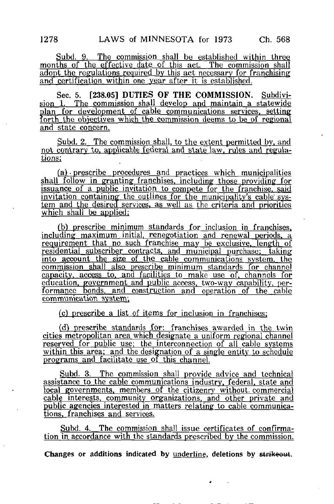Subd. 9. The commission shall be established within three months of the effective date of this act. The commission shall adopt the regulations required by this act necessary for franchising and certification within one year after it is established.

Sec. 5. [238.05] DUTIES OF THE COMMISSION. Subdivision 1. The commission shall develop and maintain a statewide plan for development of cable communications services, setting forth the objectives which the commission deems to be of regional and state concern.

Subd. 2. The commission shall, to the extent permitted by. and not contrary to, applicable federal and state law, rules and regulations:

 $f(a)$  prescribe procedures and practices which municipalities shall follow in granting franchises, including those providing for issuance of a public invitation to compete for the franchise, said invitation containing the outlines for the municipality's cable system and the desired services, as well as the criteria and priorities which shall be applied;

(b) prescribe minimum standards for inclusion in franchises, including maximum initial, renegotiation and renewal periods, a requirement that no such franchise may be exclusive, length of residential subscriber contracts, and municipal purchase: taking into account the size of the cable communications system, the commission shall also prescribe minimum standards for channel capacity, access to. and facilities to make use of. channels for education, government and public access, two-way capability, performance Bonds, and construction and operation of the cable communication system;

(c) prescribe a list of items for inclusion in franchises;

(d) prescribe standards for: franchises awarded in the twin cities metropolitan area which designate a uniform regional channel reserved for public use; the interconnection of all cable systems within this area; and the designation of a single entity to schedule programs and facilitate use of this channel.

Subd. 3. The commission shall provide advice and technical assistance to the cable communications industry, federal, state and local governments, members of the citizenry without, commercial cable interests, community organizations, and other private and public agencies interested in matters relating to cable communications, franchises and services^

Subd. 4. The commission shall issue certificates of confirmation in accordance with the standards prescribed by the commission.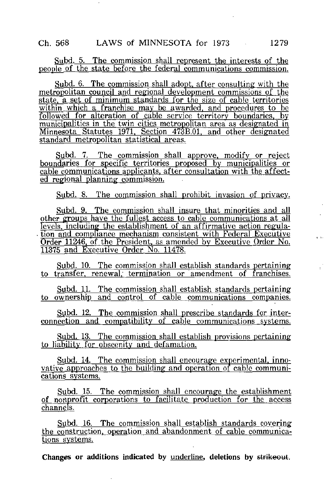Subd. 5. The commission shall represent the interests of the people of the state before the federal communications commission.

Subd. 6. The commission shall adopt, after consulting with the metropolitan council and regional development commissions of the state. a set of minimum standards for the size of cable territories within which a franchise may be awarded, and procedures to be followed for alteration of cable service territory boundaries, by municipalities in the twin cities metropolitan area as designated in Minnesota Statutes 1971, Section 473B.01, and other designated standard metropolitan statistical areas.

Subd. 7. The commission shall approve, modify or reject boundaries for specific territories proposed by municipalities or cable communications applicants, after consultation with the affected regional planning commission.

Subd. 8. The commission shall prohibit invasion of privacy.

Subd. 9. The commission shall insure that minorities and all other groups have the fullest access to cable communications at all levels, including the establishment of an affirmative action regula-. tion and compliance mechanism consistent with Federal Executive Order 11246, of the President, as amended by Executive Order No. 11375 and Executive Order No. 11478.

Subd. 10. The commission shall establish standards pertaining to transfer, renewal, termination or amendment of franchises.

Subd. 11. The commission shall establish standards pertaining to ownership and control of cable communications companies.

Subd. 12. The commission shall prescribe standards for interconnection and compatibility of cable communications systems.

Subd. 13. The commission shall establish provisions pertaining to liability for obscenity and defamation.

Subd. 14. The commission shall encourage experimental, innovative approaches to the building and operation of cable communications systems.

Subd. 15. The commission shall encourage the establishment of nonprofit corporations to facilitate production for the access  $channels.$ 

Subd. 16. The commission shall establish standards covering the construction, operation and abandonment of cable communications systems.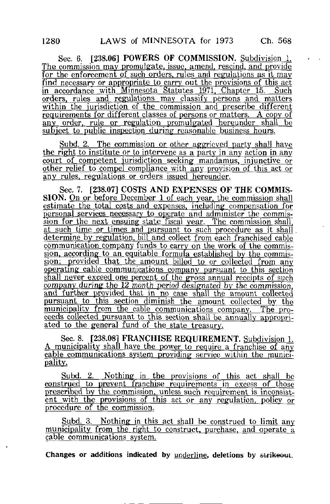Sec. 6. [238.06] POWERS OF COMMISSION. Subdivision 1. The commission may promulgate, issue, amend, rescind, and provide for the enforcement of such orders, rules and regulations as it may find necessary or appropriate to carry out the provisions of this act in accordance with Minnesota Statutes 1971, Chapter 15. Such orders, rules and regulations may classify persons and matters within the jurisdiction of the commission and prescribe different requirements for different classes of persons or matters. A copy of any order, rule or regulation promulgated hereunder shall be subject to public inspection during reasonable business hours.

Subd. 2. The commission or other aggrieved party shall have the right to institute or to intervene as a party in any action in any court of competent jurisdiction seeking mandamus, injunctive or other relief to compel compliance with any provision of this act or anv rules, regulations or orders issued hereunder.

Sec. 7. [238.07] COSTS AND EXPENSES OF THE COMMIS-SION. On or before December 1 of each year, the commission shall estimate the total costs and expenses, including compensation for personal services necessary to operate and administer the commission for the next ensuing state fiscal year. The commission shall, at such time or times and pursuant to such procedure as it shall. determine by regulation, bill and collect from each franchised cable communication company funds to carry on the work of the commission, according to an equitable formula established by the commission; provided that the amount billed to or collected from any operating cable communications company pursuant to this section shall never exceed one percent of the gross annual receipts of such company during the 12 month period designated by the commission, and further provided that in no case shall the amount collected pursuant to this section diminish the amount collected by the municipality from the cable communications company. The proceeds collected pursuant to this section shall be annually appropriated to the general fund of the state treasury.

Sec. 8. [238.08] FRANCHISE REQUIREMENT. Subdivision 1. A municipality shall have the power to require a franchise of any cable communications system providing service within the municipality.

Subd. 2. Nothing in the provisions of this act shall be construed to prevent franchise requirements in excess of those prescribed by the commission, unless such requirement is inconsistent with the provisions of this act or any regulation, policy or procedure of the commission^

Subd. 3. Nothing in this act shall be construed to limit any municipality from the right to construct, purchase, and operate a cable communications system.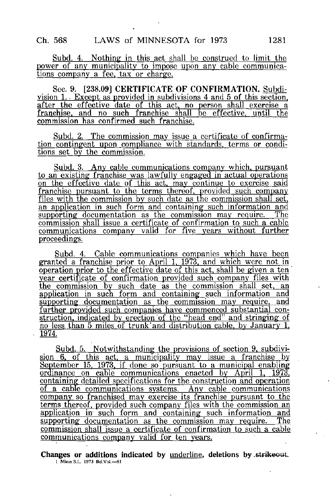Subd. 4. Nothing in this act shall be construed to limit the power of any municipality to impose upon any cable communications company a fee, tax or charge.

Sec. 9. [238.09] CERTIFICATE OF CONFIRMATION. Subdivision 1. Except as provided in subdivisions 4 and 5 of this section, after the effective date of this act, no person shall exercise a franchise, and no such franchise shall be effective, until the commission has confirmed such franchise.

Subd. 2. The commission may issue a certificate of confirmation contingent upon compliance with standards, terms or conditions set by the commission.

Subd. 3. Any cable communications company which, pursuant to an existing franchise was lawfully engaged in actual operations on the effective date of this act, may continue to exercise said franchise pursuant to the terms thereof, provided such company files with the commission by such date as the commission shall set. an application in such form and containing such information and supporting documentation as the commission may require. The commission shall issue a certificate of confirmation to such a cable communications company valid for five years without further proceedings.

Subd. 4. Cable communications companies which have been granted a franchise prior to April 1. 1973. and which were not in operation prior to the effective date of this act, shall be given a ten year certificate of confirmation provided such company files with the commission by such date as the commission shall set, an application in such form and containing such information and supporting documentation as the commission may require, and further provided such companies have commenced substantial construction, indicated by erection of the "head end" and stringing of no less than 5 miles of trunk'and distribution cable, by January 1. 1974.

Subd. 5. Notwithstanding the provisions of section 9. subdivision 6, of this act, a municipality may issue a franchise by September 15. 1973. if done so pursuant to a municipal enabling ordinance on cable communications enacted by April 1. 1973, containing detailed specifications for the construction and operation of a cable communications systems. Any cable communications company so franchised may exercise its franchise pursuant to the terms thereof, provided such company files with the commission an application in such form and containing such information and supporting documentation as the commission may require. The commission shall issue a certificate of confirmation to such a cable communications company valid for ten years.

Changes or additions indicated by underline, deletions by .strikeout. 1 Minn.S.L. 1973 Bd.Vol.—81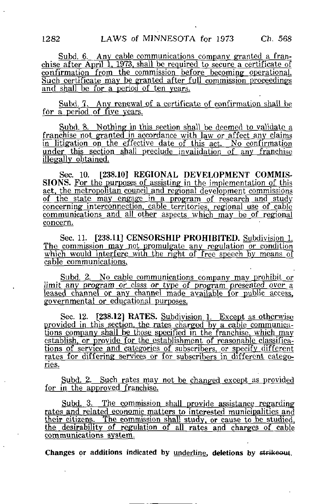Subd. 6. Any cable communications company granted a franchise after April 1, 1973, shall be required to secure a certificate of confirmation from the commission before becoming operational. Such certificate may be granted after full commission proceedings and shall be for a period of ten years.

Subd. 7. Any renewal of a certificate of confirmation shall be for a period of five years.

Subd. 8. Nothing in this section shall be deemed to validate a franchise not granted in accordance with law or affect any claims in litigation on the effective date of this act. No confirmation under this section shall preclude invalidation of anv franchise illegally obtained.

Sec. 10. [238.10] REGIONAL DEVELOPMENT COMMIS-SIONS. For the purposes of assisting in the implementation of this act, the metropolitan council and regional development commissions of the state may engage in a program of research and study concerning interconnection, cable territories, regional use of cable communications and all other aspects which may be of regional concern.

Sec. 11. [238.11] CENSORSHIP PROHIBITED. Subdivision 1. The commission may not promulgate any regulation or condition which would interfere with the right of free speech by means of cable communications.

Subd. 2. No cable communications company may prohibit or limit any program or class or type of program presented over a leased channel or any channel made available for public access, governmental or educational purposes.

Sec. 12. [238.12] RATES. Subdivision 1. Except as otherwise provided in this section, the rates charged by a cable communications company shall be those specified in the franchise, which may establish, or provide for the establishment of reasonable classifications of service and categories of subscribers, or specify different rates for differing services or for subscribers in different categories.

Subd. 2. Such rates may not be changed except as provided for in the approved franchise.

Subd. 3. The commission shall provide assistance regarding rates and related economic matters to interested municipalities and their citizens. The commission shall study, or cause to be studied, the desirability of regulation of all rates and charges of cable communications system.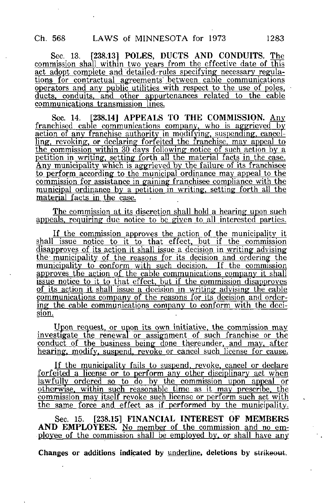Sec. 13. [238.13] POLES, DUCTS AND CONDUITS. The commission shall within two years from the effective date of this act adopt complete and 'detailed-rules specifying necessary regula^ tions for contractual agreements between cable communications operators and any public utilities with respect to the use of poles, ducts, conduits, and other appurtenances related to the cable communications transmission lines.

Sec. 14. [238.14] APPEALS TO THE COMMISSION. Any franchised cable communications company, who is aggrieved by action of any franchise authority in modifying, suspending, cancelling, revoking, or declaring forfeited the franchise, may appeal to the commission within 30 days following notice of such action by a petition in writing, setting forth all the material facts in the case. <u>Any municipality which is aggrieved by the failure of its franchisee</u> to perform according to the municipal ordinance may appeal to the commission for assistance in gaining franchisee compliance with the municipal ordinance by a petition in writing, setting forth all the material facts in the case.

The commission at its discretion shall hold a hearing upon such appeals, requiring due notice to be given to all interested parties.

If the commission approves the action of the municipality it shall issue notice to it to that effect, but if the commission disapproves of its action it shall issue a decision in writing advising the municipality of the reasons for its decision and ordering' the municipality to conform with such decision. If the commission approves the action of the cable communications company it shall issue notice to it to that effect, but if the commission disapproves of its action it shall issue a decision in writing advising the cable communications company of the reasons for its decisjon and ordering the cable communications company to conform with the decision.

Upon request, or upon its own initiative, the commission may investigate the renewal or assignment of such franchise or the conduct of the business being done thereunder, and may, after hearing, modify, suspend, revoke or cancel such license for cause.

If the municipality fails to suspend, revoke, cancel or declare forfeited a license or to perform any other disciplinary act when lawfujly ordered so to do by the commission upon appeal or otherwise, within such reasonable time as it may prescribe, the commission may itself revoke such license or perform such act with the same force and effect as if performed by the municipality.

Sec. 15. [238.15] FINANCIAL INTEREST OF MEMBERS AND EMPLOYEES. No member of the commission and no employee of the commission shall be employed by. or shall have any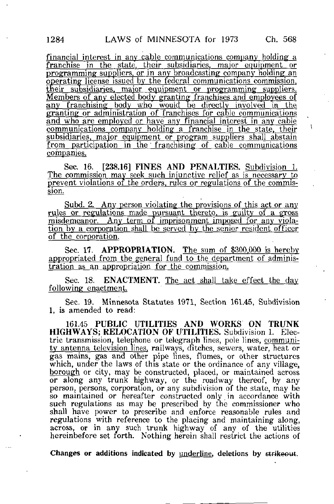financial interest in any cable communications company holding a franchise in the state, their subsidiaries, major equipment or programming suppliers, or in any broadcasting company holding an operating license issued by the federal communications commission, their subsidiaries, major equipment or programming suppliers. Members of any elected body granting franchises and employees of any franchising body who would be directly involved in the granting or administration of franchises for cable communications and who are employed or have any financial interest in any cable communications company holding a franchise in the state, their subsidiaries, major equipment or program suppliers shalj abstain from participation in the franchising of cable communications companies.

Sec. 16. [238.16] FINES AND PENALTIES. Subdivision 1. The commission may seek such injunctive relief as is necessary to prevent violations of the orders, rules or regulations of the commission.

Subd. 2. Any person violating the provisions of this act or any rules or regulations made pursuant thereto, is guilty of a gross misdemeanor. Any term of imprisonment imposed for any violation by a corporation shall be served by the senior resident officer of the corporation.

Sec. 17. APPROPRIATION. The sum of \$300.000 is hereby appropriated from the general fund to the department of administration as an appropriation for the commission.

Sec. 18. ENACTMENT. The act shall take effect the day following enactment.

Sec. 19. Minnesota Statutes 1971, Section 161.45, Subdivision 1, is amended to read:

161.45 PUBLIC UTILITIES AND WORKS ON TRUNK HIGHWAYS; RELOCATION OF UTILITIES. Subdivision 1. Electric transmission, telephone or telegraph lines, pole lines, community antenna television lines, railways, ditches, sewers, water, heat or gas mains, gas and other pipe lines, flumes, or other structures which, under the laws of this state or the ordinance of any village. borough or city, may be constructed, placed, or maintained across or along any trunk highway, or the roadway thereof, by any person, persons, corporation, or any subdivision of the state, may be so maintained or hereafter constructed only.in accordance with such regulations as may be prescribed by the commissioner who shall have power to prescribe and enforce reasonable rules and regulations with reference to the placing and maintaining along, across, or in any such trunk highway of any of the utilities hereinbefore set forth. Nothing herein shall restrict the actions of